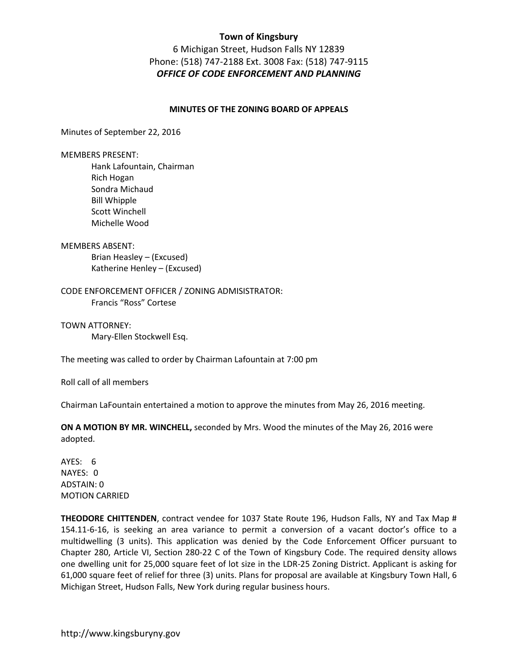6 Michigan Street, Hudson Falls NY 12839 Phone: (518) 747-2188 Ext. 3008 Fax: (518) 747-9115 *OFFICE OF CODE ENFORCEMENT AND PLANNING* 

#### **MINUTES OF THE ZONING BOARD OF APPEALS**

Minutes of September 22, 2016

MEMBERS PRESENT:

 Hank Lafountain, Chairman Rich Hogan Sondra Michaud Bill Whipple Scott Winchell Michelle Wood

MEMBERS ABSENT:

Brian Heasley – (Excused) Katherine Henley – (Excused)

CODE ENFORCEMENT OFFICER / ZONING ADMISISTRATOR: Francis "Ross" Cortese

TOWN ATTORNEY:

Mary-Ellen Stockwell Esq.

The meeting was called to order by Chairman Lafountain at 7:00 pm

Roll call of all members

Chairman LaFountain entertained a motion to approve the minutes from May 26, 2016 meeting.

**ON A MOTION BY MR. WINCHELL,** seconded by Mrs. Wood the minutes of the May 26, 2016 were adopted.

AYES: 6 NAYES: 0 ADSTAIN: 0 MOTION CARRIED

**THEODORE CHITTENDEN**, contract vendee for 1037 State Route 196, Hudson Falls, NY and Tax Map # 154.11-6-16, is seeking an area variance to permit a conversion of a vacant doctor's office to a multidwelling (3 units). This application was denied by the Code Enforcement Officer pursuant to Chapter 280, Article VI, Section 280-22 C of the Town of Kingsbury Code. The required density allows one dwelling unit for 25,000 square feet of lot size in the LDR-25 Zoning District. Applicant is asking for 61,000 square feet of relief for three (3) units. Plans for proposal are available at Kingsbury Town Hall, 6 Michigan Street, Hudson Falls, New York during regular business hours.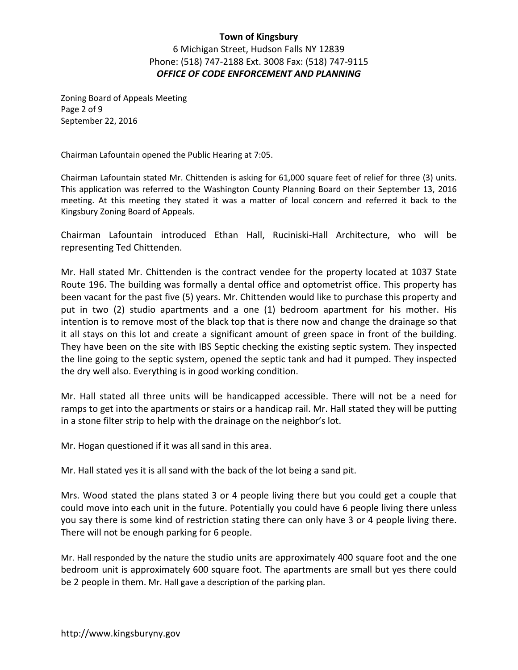6 Michigan Street, Hudson Falls NY 12839 Phone: (518) 747-2188 Ext. 3008 Fax: (518) 747-9115 *OFFICE OF CODE ENFORCEMENT AND PLANNING* 

Zoning Board of Appeals Meeting Page 2 of 9 September 22, 2016

Chairman Lafountain opened the Public Hearing at 7:05.

Chairman Lafountain stated Mr. Chittenden is asking for 61,000 square feet of relief for three (3) units. This application was referred to the Washington County Planning Board on their September 13, 2016 meeting. At this meeting they stated it was a matter of local concern and referred it back to the Kingsbury Zoning Board of Appeals.

Chairman Lafountain introduced Ethan Hall, Ruciniski-Hall Architecture, who will be representing Ted Chittenden.

Mr. Hall stated Mr. Chittenden is the contract vendee for the property located at 1037 State Route 196. The building was formally a dental office and optometrist office. This property has been vacant for the past five (5) years. Mr. Chittenden would like to purchase this property and put in two (2) studio apartments and a one (1) bedroom apartment for his mother. His intention is to remove most of the black top that is there now and change the drainage so that it all stays on this lot and create a significant amount of green space in front of the building. They have been on the site with IBS Septic checking the existing septic system. They inspected the line going to the septic system, opened the septic tank and had it pumped. They inspected the dry well also. Everything is in good working condition.

Mr. Hall stated all three units will be handicapped accessible. There will not be a need for ramps to get into the apartments or stairs or a handicap rail. Mr. Hall stated they will be putting in a stone filter strip to help with the drainage on the neighbor's lot.

Mr. Hogan questioned if it was all sand in this area.

Mr. Hall stated yes it is all sand with the back of the lot being a sand pit.

Mrs. Wood stated the plans stated 3 or 4 people living there but you could get a couple that could move into each unit in the future. Potentially you could have 6 people living there unless you say there is some kind of restriction stating there can only have 3 or 4 people living there. There will not be enough parking for 6 people.

Mr. Hall responded by the nature the studio units are approximately 400 square foot and the one bedroom unit is approximately 600 square foot. The apartments are small but yes there could be 2 people in them. Mr. Hall gave a description of the parking plan.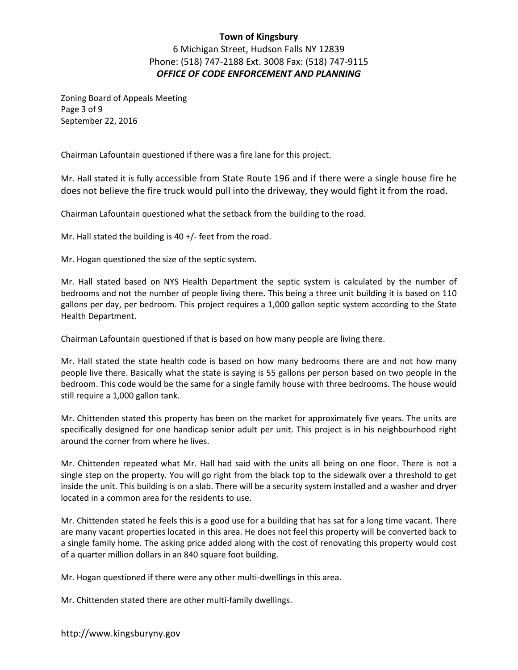6 Michigan Street, Hudson Falls NY 12839 Phone: (518) 747-2188 Ext. 3008 Fax: (518) 747-9115 *OFFICE OF CODE ENFORCEMENT AND PLANNING* 

Zoning Board of Appeals Meeting Page 3 of 9 September 22, 2016

Chairman Lafountain questioned if there was a fire lane for this project.

Mr. Hall stated it is fully accessible from State Route 196 and if there were a single house fire he does not believe the fire truck would pull into the driveway, they would fight it from the road.

Chairman Lafountain questioned what the setback from the building to the road.

Mr. Hall stated the building is 40 +/- feet from the road.

Mr. Hogan questioned the size of the septic system.

Mr. Hall stated based on NYS Health Department the septic system is calculated by the number of bedrooms and not the number of people living there. This being a three unit building it is based on 110 gallons per day, per bedroom. This project requires a 1,000 gallon septic system according to the State Health Department.

Chairman Lafountain questioned if that is based on how many people are living there.

Mr. Hall stated the state health code is based on how many bedrooms there are and not how many people live there. Basically what the state is saying is 55 gallons per person based on two people in the bedroom. This code would be the same for a single family house with three bedrooms. The house would still require a 1,000 gallon tank.

Mr. Chittenden stated this property has been on the market for approximately five years. The units are specifically designed for one handicap senior adult per unit. This project is in his neighbourhood right around the corner from where he lives.

Mr. Chittenden repeated what Mr. Hall had said with the units all being on one floor. There is not a single step on the property. You will go right from the black top to the sidewalk over a threshold to get inside the unit. This building is on a slab. There will be a security system installed and a washer and dryer located in a common area for the residents to use.

Mr. Chittenden stated he feels this is a good use for a building that has sat for a long time vacant. There are many vacant properties located in this area. He does not feel this property will be converted back to a single family home. The asking price added along with the cost of renovating this property would cost of a quarter million dollars in an 840 square foot building.

Mr. Hogan questioned if there were any other multi-dwellings in this area.

Mr. Chittenden stated there are other multi-family dwellings.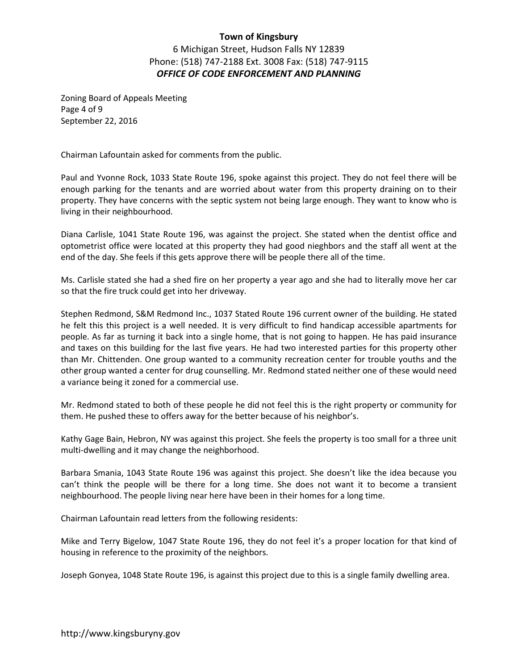6 Michigan Street, Hudson Falls NY 12839 Phone: (518) 747-2188 Ext. 3008 Fax: (518) 747-9115 *OFFICE OF CODE ENFORCEMENT AND PLANNING* 

Zoning Board of Appeals Meeting Page 4 of 9 September 22, 2016

Chairman Lafountain asked for comments from the public.

Paul and Yvonne Rock, 1033 State Route 196, spoke against this project. They do not feel there will be enough parking for the tenants and are worried about water from this property draining on to their property. They have concerns with the septic system not being large enough. They want to know who is living in their neighbourhood.

Diana Carlisle, 1041 State Route 196, was against the project. She stated when the dentist office and optometrist office were located at this property they had good nieghbors and the staff all went at the end of the day. She feels if this gets approve there will be people there all of the time.

Ms. Carlisle stated she had a shed fire on her property a year ago and she had to literally move her car so that the fire truck could get into her driveway.

Stephen Redmond, S&M Redmond Inc., 1037 Stated Route 196 current owner of the building. He stated he felt this this project is a well needed. It is very difficult to find handicap accessible apartments for people. As far as turning it back into a single home, that is not going to happen. He has paid insurance and taxes on this building for the last five years. He had two interested parties for this property other than Mr. Chittenden. One group wanted to a community recreation center for trouble youths and the other group wanted a center for drug counselling. Mr. Redmond stated neither one of these would need a variance being it zoned for a commercial use.

Mr. Redmond stated to both of these people he did not feel this is the right property or community for them. He pushed these to offers away for the better because of his neighbor's.

Kathy Gage Bain, Hebron, NY was against this project. She feels the property is too small for a three unit multi-dwelling and it may change the neighborhood.

Barbara Smania, 1043 State Route 196 was against this project. She doesn't like the idea because you can't think the people will be there for a long time. She does not want it to become a transient neighbourhood. The people living near here have been in their homes for a long time.

Chairman Lafountain read letters from the following residents:

Mike and Terry Bigelow, 1047 State Route 196, they do not feel it's a proper location for that kind of housing in reference to the proximity of the neighbors.

Joseph Gonyea, 1048 State Route 196, is against this project due to this is a single family dwelling area.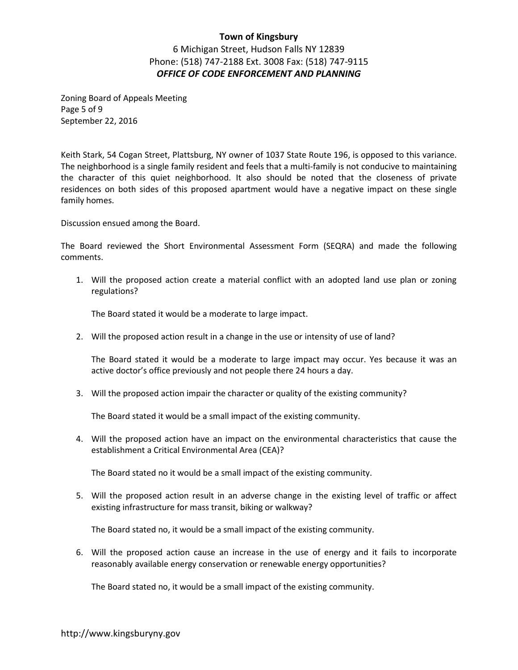6 Michigan Street, Hudson Falls NY 12839 Phone: (518) 747-2188 Ext. 3008 Fax: (518) 747-9115 *OFFICE OF CODE ENFORCEMENT AND PLANNING* 

Zoning Board of Appeals Meeting Page 5 of 9 September 22, 2016

Keith Stark, 54 Cogan Street, Plattsburg, NY owner of 1037 State Route 196, is opposed to this variance. The neighborhood is a single family resident and feels that a multi-family is not conducive to maintaining the character of this quiet neighborhood. It also should be noted that the closeness of private residences on both sides of this proposed apartment would have a negative impact on these single family homes.

Discussion ensued among the Board.

The Board reviewed the Short Environmental Assessment Form (SEQRA) and made the following comments.

1. Will the proposed action create a material conflict with an adopted land use plan or zoning regulations?

The Board stated it would be a moderate to large impact.

2. Will the proposed action result in a change in the use or intensity of use of land?

The Board stated it would be a moderate to large impact may occur. Yes because it was an active doctor's office previously and not people there 24 hours a day.

3. Will the proposed action impair the character or quality of the existing community?

The Board stated it would be a small impact of the existing community.

4. Will the proposed action have an impact on the environmental characteristics that cause the establishment a Critical Environmental Area (CEA)?

The Board stated no it would be a small impact of the existing community.

5. Will the proposed action result in an adverse change in the existing level of traffic or affect existing infrastructure for mass transit, biking or walkway?

The Board stated no, it would be a small impact of the existing community.

6. Will the proposed action cause an increase in the use of energy and it fails to incorporate reasonably available energy conservation or renewable energy opportunities?

The Board stated no, it would be a small impact of the existing community.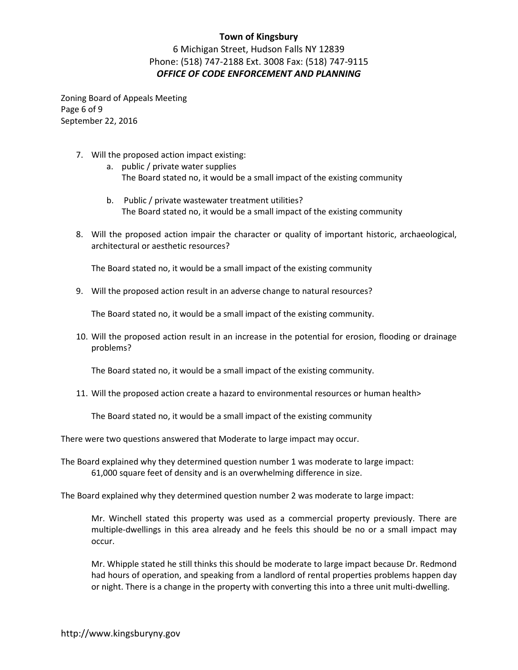6 Michigan Street, Hudson Falls NY 12839 Phone: (518) 747-2188 Ext. 3008 Fax: (518) 747-9115 *OFFICE OF CODE ENFORCEMENT AND PLANNING* 

Zoning Board of Appeals Meeting Page 6 of 9 September 22, 2016

- 7. Will the proposed action impact existing:
	- a. public / private water supplies The Board stated no, it would be a small impact of the existing community
	- b. Public / private wastewater treatment utilities? The Board stated no, it would be a small impact of the existing community
- 8. Will the proposed action impair the character or quality of important historic, archaeological, architectural or aesthetic resources?

The Board stated no, it would be a small impact of the existing community

9. Will the proposed action result in an adverse change to natural resources?

The Board stated no, it would be a small impact of the existing community.

10. Will the proposed action result in an increase in the potential for erosion, flooding or drainage problems?

The Board stated no, it would be a small impact of the existing community.

11. Will the proposed action create a hazard to environmental resources or human health>

The Board stated no, it would be a small impact of the existing community

There were two questions answered that Moderate to large impact may occur.

The Board explained why they determined question number 1 was moderate to large impact: 61,000 square feet of density and is an overwhelming difference in size.

The Board explained why they determined question number 2 was moderate to large impact:

Mr. Winchell stated this property was used as a commercial property previously. There are multiple-dwellings in this area already and he feels this should be no or a small impact may occur.

Mr. Whipple stated he still thinks this should be moderate to large impact because Dr. Redmond had hours of operation, and speaking from a landlord of rental properties problems happen day or night. There is a change in the property with converting this into a three unit multi-dwelling.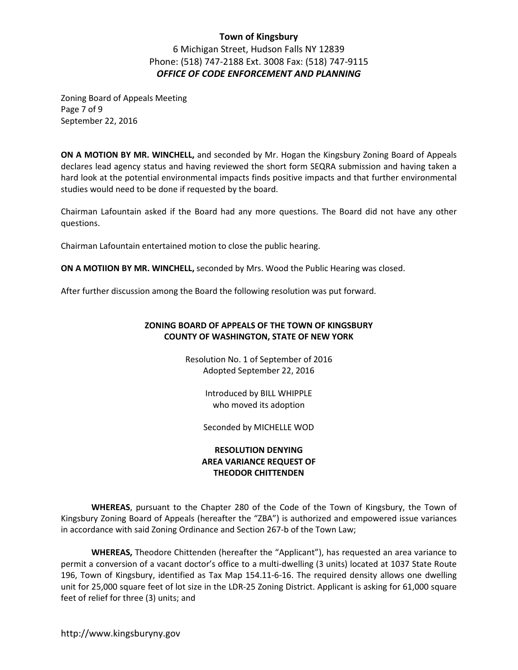6 Michigan Street, Hudson Falls NY 12839 Phone: (518) 747-2188 Ext. 3008 Fax: (518) 747-9115 *OFFICE OF CODE ENFORCEMENT AND PLANNING* 

Zoning Board of Appeals Meeting Page 7 of 9 September 22, 2016

**ON A MOTION BY MR. WINCHELL,** and seconded by Mr. Hogan the Kingsbury Zoning Board of Appeals declares lead agency status and having reviewed the short form SEQRA submission and having taken a hard look at the potential environmental impacts finds positive impacts and that further environmental studies would need to be done if requested by the board.

Chairman Lafountain asked if the Board had any more questions. The Board did not have any other questions.

Chairman Lafountain entertained motion to close the public hearing.

**ON A MOTIION BY MR. WINCHELL,** seconded by Mrs. Wood the Public Hearing was closed.

After further discussion among the Board the following resolution was put forward.

#### **ZONING BOARD OF APPEALS OF THE TOWN OF KINGSBURY COUNTY OF WASHINGTON, STATE OF NEW YORK**

Resolution No. 1 of September of 2016 Adopted September 22, 2016

> Introduced by BILL WHIPPLE who moved its adoption

Seconded by MICHELLE WOD

#### **RESOLUTION DENYING AREA VARIANCE REQUEST OF THEODOR CHITTENDEN**

**WHEREAS**, pursuant to the Chapter 280 of the Code of the Town of Kingsbury, the Town of Kingsbury Zoning Board of Appeals (hereafter the "ZBA") is authorized and empowered issue variances in accordance with said Zoning Ordinance and Section 267-b of the Town Law;

**WHEREAS,** Theodore Chittenden (hereafter the "Applicant"), has requested an area variance to permit a conversion of a vacant doctor's office to a multi-dwelling (3 units) located at 1037 State Route 196, Town of Kingsbury, identified as Tax Map 154.11-6-16. The required density allows one dwelling unit for 25,000 square feet of lot size in the LDR-25 Zoning District. Applicant is asking for 61,000 square feet of relief for three (3) units; and

http://www.kingsburyny.gov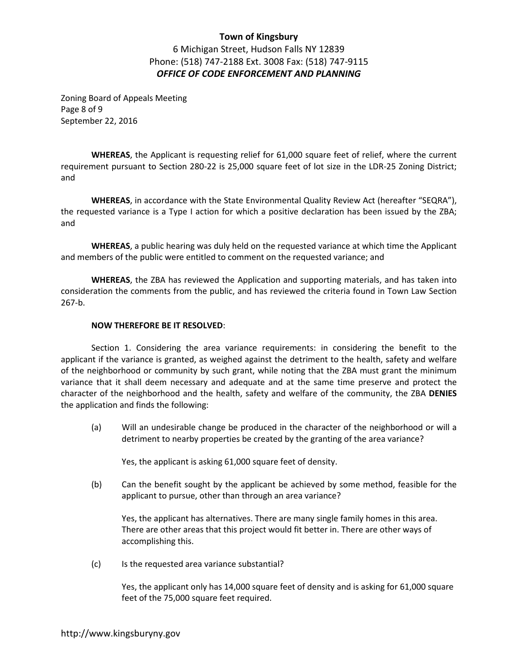6 Michigan Street, Hudson Falls NY 12839 Phone: (518) 747-2188 Ext. 3008 Fax: (518) 747-9115 *OFFICE OF CODE ENFORCEMENT AND PLANNING* 

Zoning Board of Appeals Meeting Page 8 of 9 September 22, 2016

**WHEREAS**, the Applicant is requesting relief for 61,000 square feet of relief, where the current requirement pursuant to Section 280-22 is 25,000 square feet of lot size in the LDR-25 Zoning District; and

**WHEREAS**, in accordance with the State Environmental Quality Review Act (hereafter "SEQRA"), the requested variance is a Type I action for which a positive declaration has been issued by the ZBA; and

**WHEREAS**, a public hearing was duly held on the requested variance at which time the Applicant and members of the public were entitled to comment on the requested variance; and

**WHEREAS**, the ZBA has reviewed the Application and supporting materials, and has taken into consideration the comments from the public, and has reviewed the criteria found in Town Law Section 267-b.

#### **NOW THEREFORE BE IT RESOLVED**:

 Section 1. Considering the area variance requirements: in considering the benefit to the applicant if the variance is granted, as weighed against the detriment to the health, safety and welfare of the neighborhood or community by such grant, while noting that the ZBA must grant the minimum variance that it shall deem necessary and adequate and at the same time preserve and protect the character of the neighborhood and the health, safety and welfare of the community, the ZBA **DENIES** the application and finds the following:

 (a) Will an undesirable change be produced in the character of the neighborhood or will a detriment to nearby properties be created by the granting of the area variance?

Yes, the applicant is asking 61,000 square feet of density.

(b) Can the benefit sought by the applicant be achieved by some method, feasible for the applicant to pursue, other than through an area variance?

Yes, the applicant has alternatives. There are many single family homes in this area. There are other areas that this project would fit better in. There are other ways of accomplishing this.

(c) Is the requested area variance substantial?

Yes, the applicant only has 14,000 square feet of density and is asking for 61,000 square feet of the 75,000 square feet required.